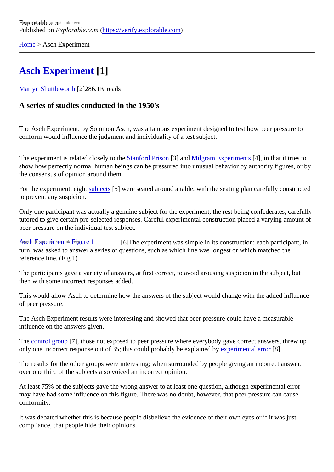[Home](https://verify.explorable.com/)> Asch Experiment

## [Asch Experiment](https://verify.explorable.com/asch-experiment)[1]

[Martyn Shuttlewort](https://verify.explorable.com/users/martyn)h<sup>[2]</sup>286.1K reads

A series of studies conducted in the 1950's

The Asch Experiment, by Solomon Asch, was a famous experiment designed to test how peer pressure to conform would influence the judgment and individuality of a test subject.

The experiment is related closely to **Bianford Prison**[3] and [Milgram Experiment](https://verify.explorable.com/stanley-milgram-experiment) \$4], in that it tries to show how perfectly normal human beings can be pressured into unusual behavior by authority figures, or the consensus of opinion around them.

For the experiment, eight ubjects [5] were seated around a table, with the seating plan carefully constructed to prevent any suspicion.

Only one participant was actually a genuine subject for the experiment, the rest being confederates, carefully tutored to give certain pre-selected responses. Careful experimental construction placed a varying amount peer pressure on the individual test subject.

[Asch Experiment - Figure 1](https://verify.explorable.com/asch-experiment-figure) [6] The experiment was simple in its construction; each participant, in turn, was asked to answer a series of questions, such as which line was longest or which matched the reference line. (Fig 1)

The participants gave a variety of answers, at first correct, to avoid arousing suspicion in the subject, but then with some incorrect responses added.

This would allow Asch to determine how the answers of the subject would change with the added influence of peer pressure.

The Asch Experiment results were interesting and showed that peer pressure could have a measurable influence on the answers given.

The [control group](https://verify.explorable.com/scientific-control-group) [7], those not exposed to peer pressure where everybody gave correct answers, threw up only one incorrect response out of 35; this could probably be explained by imental error 8.

The results for the other groups were interesting; when surrounded by people giving an incorrect answer, over one third of the subjects also voiced an incorrect opinion.

At least 75% of the subjects gave the wrong answer to at least one question, although experimental error may have had some influence on this figure. There was no doubt, however, that peer pressure can cause conformity.

It was debated whether this is because people disbelieve the evidence of their own eyes or if it was just compliance, that people hide their opinions.